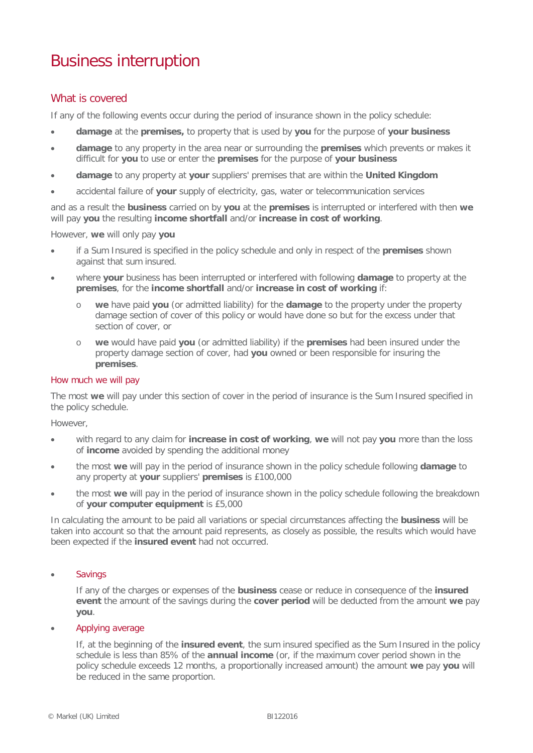# Business interruption

# What is covered

If any of the following events occur during the period of insurance shown in the policy schedule:

- **damage** at the **premises,** to property that is used by **you** for the purpose of **your business**
- **damage** to any property in the area near or surrounding the **premises** which prevents or makes it difficult for **you** to use or enter the **premises** for the purpose of **your business**
- **damage** to any property at **your** suppliers' premises that are within the **United Kingdom**
- accidental failure of **your** supply of electricity, gas, water or telecommunication services

and as a result the **business** carried on by **you** at the **premises** is interrupted or interfered with then **we** will pay **you** the resulting **income shortfall** and/or **increase in cost of working**.

However, **we** will only pay **you**

- if a Sum Insured is specified in the policy schedule and only in respect of the **premises** shown against that sum insured.
- where **your** business has been interrupted or interfered with following **damage** to property at the **premises**, for the **income shortfall** and/or **increase in cost of working** if:
	- o **we** have paid **you** (or admitted liability) for the **damage** to the property under the property damage section of cover of this policy or would have done so but for the excess under that section of cover, or
	- o **we** would have paid **you** (or admitted liability) if the **premises** had been insured under the property damage section of cover, had **you** owned or been responsible for insuring the **premises**.

## How much we will pay

The most **we** will pay under this section of cover in the period of insurance is the Sum Insured specified in the policy schedule.

However,

- with regard to any claim for **increase in cost of working**, **we** will not pay **you** more than the loss of **income** avoided by spending the additional money
- the most **we** will pay in the period of insurance shown in the policy schedule following **damage** to any property at **your** suppliers' **premises** is £100,000
- the most **we** will pay in the period of insurance shown in the policy schedule following the breakdown of **your computer equipment** is £5,000

In calculating the amount to be paid all variations or special circumstances affecting the **business** will be taken into account so that the amount paid represents, as closely as possible, the results which would have been expected if the **insured event** had not occurred.

# **Savings**

If any of the charges or expenses of the **business** cease or reduce in consequence of the **insured event** the amount of the savings during the **cover period** will be deducted from the amount **we** pay **you**.

#### • Applying average

If, at the beginning of the **insured event**, the sum insured specified as the Sum Insured in the policy schedule is less than 85% of the **annual income** (or, if the maximum cover period shown in the policy schedule exceeds 12 months, a proportionally increased amount) the amount **we** pay **you** will be reduced in the same proportion.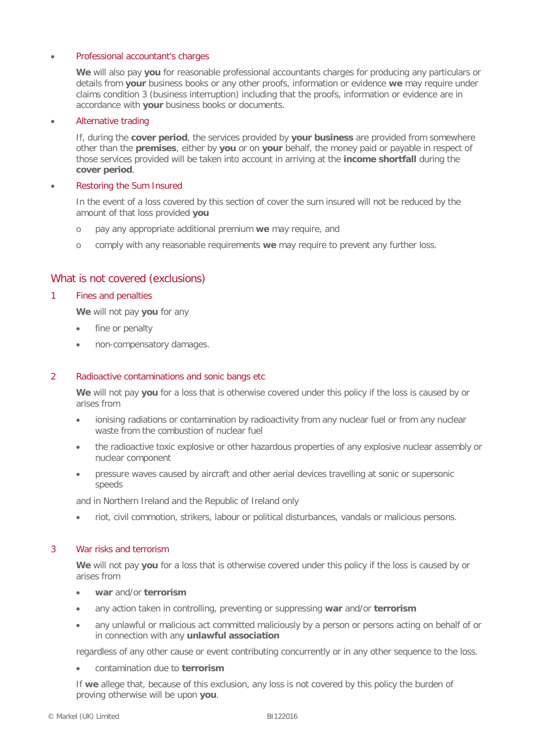#### • Professional accountant's charges

**We** will also pay **you** for reasonable professional accountants charges for producing any particulars or details from **your** business books or any other proofs, information or evidence **we** may require under claims condition 3 (business interruption) including that the proofs, information or evidence are in accordance with **your** business books or documents.

#### • Alternative trading

If, during the **cover period**, the services provided by **your business** are provided from somewhere other than the **premises**, either by **you** or on **your** behalf, the money paid or payable in respect of those services provided will be taken into account in arriving at the **income shortfall** during the **cover period**.

### • Restoring the Sum Insured

In the event of a loss covered by this section of cover the sum insured will not be reduced by the amount of that loss provided **you**

- o pay any appropriate additional premium **we** may require, and
- o comply with any reasonable requirements **we** may require to prevent any further loss.

# What is not covered (exclusions)

### 1 Fines and penalties

**We** will not pay **you** for any

- fine or penalty
- non-compensatory damages.

#### 2 Radioactive contaminations and sonic bangs etc

**We** will not pay **you** for a loss that is otherwise covered under this policy if the loss is caused by or arises from

- ionising radiations or contamination by radioactivity from any nuclear fuel or from any nuclear waste from the combustion of nuclear fuel
- the radioactive toxic explosive or other hazardous properties of any explosive nuclear assembly or nuclear component
- pressure waves caused by aircraft and other aerial devices travelling at sonic or supersonic speeds

and in Northern Ireland and the Republic of Ireland only

• riot, civil commotion, strikers, labour or political disturbances, vandals or malicious persons.

#### 3 War risks and terrorism

**We** will not pay **you** for a loss that is otherwise covered under this policy if the loss is caused by or arises from

- **war** and/or **terrorism**
- any action taken in controlling, preventing or suppressing **war** and/or **terrorism**
- any unlawful or malicious act committed maliciously by a person or persons acting on behalf of or in connection with any **unlawful association**

regardless of any other cause or event contributing concurrently or in any other sequence to the loss.

• contamination due to **terrorism**

If **we** allege that, because of this exclusion, any loss is not covered by this policy the burden of proving otherwise will be upon **you**.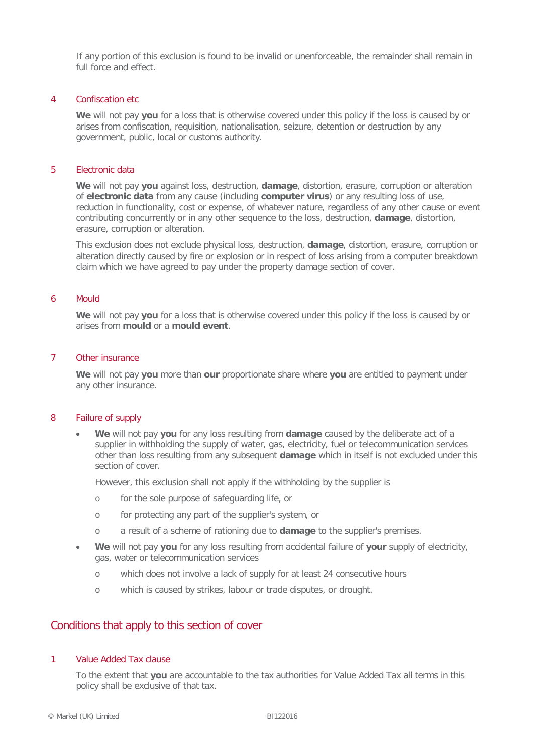If any portion of this exclusion is found to be invalid or unenforceable, the remainder shall remain in full force and effect.

#### 4 Confiscation etc

**We** will not pay **you** for a loss that is otherwise covered under this policy if the loss is caused by or arises from confiscation, requisition, nationalisation, seizure, detention or destruction by any government, public, local or customs authority.

#### 5 Electronic data

**We** will not pay **you** against loss, destruction, **damage**, distortion, erasure, corruption or alteration of **electronic data** from any cause (including **computer virus**) or any resulting loss of use, reduction in functionality, cost or expense, of whatever nature, regardless of any other cause or event contributing concurrently or in any other sequence to the loss, destruction, **damage**, distortion, erasure, corruption or alteration.

This exclusion does not exclude physical loss, destruction, **damage**, distortion, erasure, corruption or alteration directly caused by fire or explosion or in respect of loss arising from a computer breakdown claim which we have agreed to pay under the property damage section of cover.

#### 6 Mould

**We** will not pay **you** for a loss that is otherwise covered under this policy if the loss is caused by or arises from **mould** or a **mould event**.

### 7 Other insurance

**We** will not pay **you** more than **our** proportionate share where **you** are entitled to payment under any other insurance.

#### 8 Failure of supply

• **We** will not pay **you** for any loss resulting from **damage** caused by the deliberate act of a supplier in withholding the supply of water, gas, electricity, fuel or telecommunication services other than loss resulting from any subsequent **damage** which in itself is not excluded under this section of cover.

However, this exclusion shall not apply if the withholding by the supplier is

- o for the sole purpose of safeguarding life, or
- o for protecting any part of the supplier's system, or
- o a result of a scheme of rationing due to **damage** to the supplier's premises.
- **We** will not pay **you** for any loss resulting from accidental failure of **your** supply of electricity, gas, water or telecommunication services
	- o which does not involve a lack of supply for at least 24 consecutive hours
	- o which is caused by strikes, labour or trade disputes, or drought.

# Conditions that apply to this section of cover

#### 1 Value Added Tax clause

To the extent that **you** are accountable to the tax authorities for Value Added Tax all terms in this policy shall be exclusive of that tax.